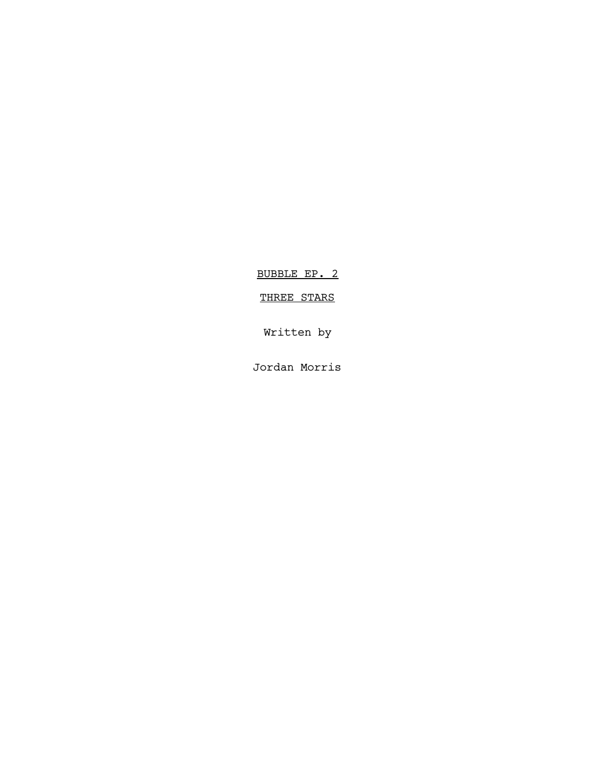BUBBLE EP. 2

# THREE STARS

Written by

Jordan Morris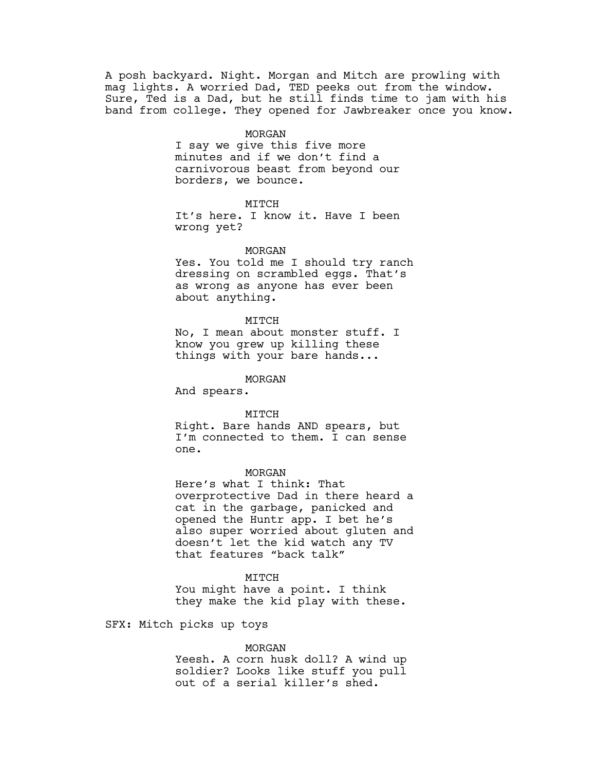A posh backyard. Night. Morgan and Mitch are prowling with mag lights. A worried Dad, TED peeks out from the window. Sure, Ted is a Dad, but he still finds time to jam with his band from college. They opened for Jawbreaker once you know.

### MORGAN

I say we give this five more minutes and if we don't find a carnivorous beast from beyond our borders, we bounce.

## MITCH

It's here. I know it. Have I been wrong yet?

#### MORGAN

Yes. You told me I should try ranch dressing on scrambled eggs. That's as wrong as anyone has ever been about anything.

#### MITCH

No, I mean about monster stuff. I know you grew up killing these things with your bare hands...

MORGAN

And spears.

#### MITCH

Right. Bare hands AND spears, but I'm connected to them. I can sense one.

## MORGAN

Here's what I think: That overprotective Dad in there heard a cat in the garbage, panicked and opened the Huntr app. I bet he's also super worried about gluten and doesn't let the kid watch any TV that features "back talk"

### MITCH

You might have a point. I think they make the kid play with these.

### SFX: Mitch picks up toys

#### MORGAN

Yeesh. A corn husk doll? A wind up soldier? Looks like stuff you pull out of a serial killer's shed.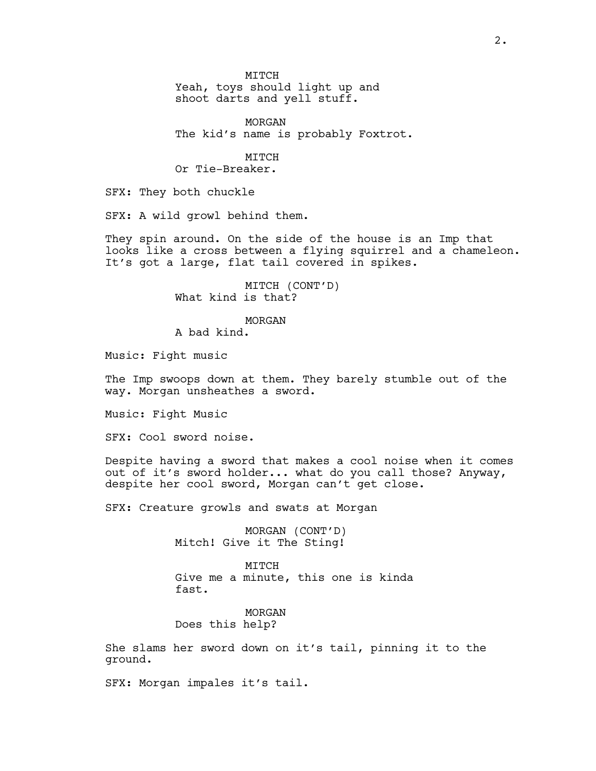MITCH

Yeah, toys should light up and shoot darts and yell stuff.

MORGAN The kid's name is probably Foxtrot.

MITCH

Or Tie-Breaker.

SFX: They both chuckle

SFX: A wild growl behind them.

They spin around. On the side of the house is an Imp that looks like a cross between a flying squirrel and a chameleon. It's got a large, flat tail covered in spikes.

> MITCH (CONT'D) What kind is that?

MORGAN

A bad kind.

Music: Fight music

The Imp swoops down at them. They barely stumble out of the way. Morgan unsheathes a sword.

Music: Fight Music

SFX: Cool sword noise.

Despite having a sword that makes a cool noise when it comes out of it's sword holder... what do you call those? Anyway, despite her cool sword, Morgan can't get close.

SFX: Creature growls and swats at Morgan

MORGAN (CONT'D) Mitch! Give it The Sting!

MITCH Give me a minute, this one is kinda fast.

MORGAN Does this help?

She slams her sword down on it's tail, pinning it to the ground.

SFX: Morgan impales it's tail.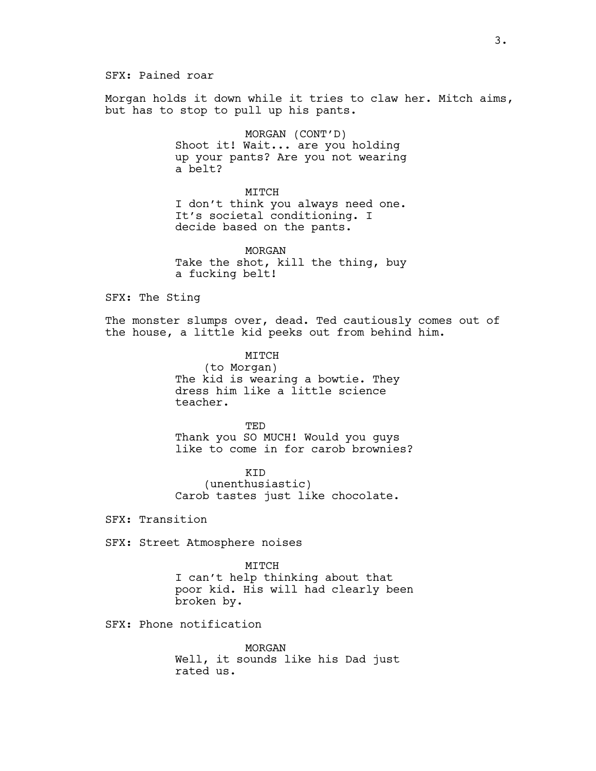SFX: Pained roar

Morgan holds it down while it tries to claw her. Mitch aims, but has to stop to pull up his pants.

> MORGAN (CONT'D) Shoot it! Wait... are you holding up your pants? Are you not wearing a belt?

#### MITCH

I don't think you always need one. It's societal conditioning. I decide based on the pants.

MORGAN Take the shot, kill the thing, buy a fucking belt!

SFX: The Sting

The monster slumps over, dead. Ted cautiously comes out of the house, a little kid peeks out from behind him.

> MITCH (to Morgan) The kid is wearing a bowtie. They dress him like a little science teacher.

TED Thank you SO MUCH! Would you guys like to come in for carob brownies?

KID (unenthusiastic) Carob tastes just like chocolate.

SFX: Transition

SFX: Street Atmosphere noises

MITCH I can't help thinking about that poor kid. His will had clearly been broken by.

SFX: Phone notification

MORGAN Well, it sounds like his Dad just rated us.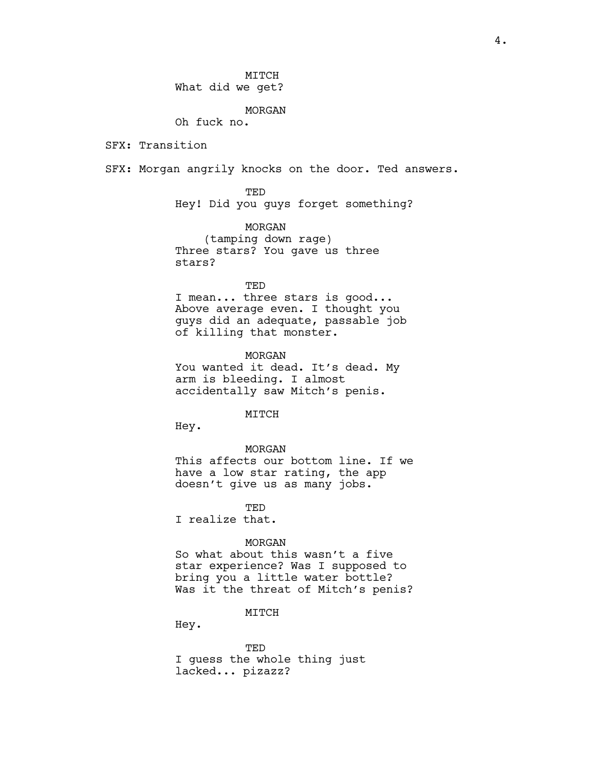MITCH What did we get?

MORGAN

Oh fuck no.

SFX: Transition

SFX: Morgan angrily knocks on the door. Ted answers.

TED Hey! Did you guys forget something?

MORGAN (tamping down rage) Three stars? You gave us three stars?

TED

I mean... three stars is good... Above average even. I thought you guys did an adequate, passable job of killing that monster.

MORGAN You wanted it dead. It's dead. My arm is bleeding. I almost accidentally saw Mitch's penis.

**MTTCH** 

Hey.

#### MORGAN

This affects our bottom line. If we have a low star rating, the app doesn't give us as many jobs.

**TED** 

I realize that.

#### MORGAN

So what about this wasn't a five star experience? Was I supposed to bring you a little water bottle? Was it the threat of Mitch's penis?

MITCH

Hey.

TED I guess the whole thing just lacked... pizazz?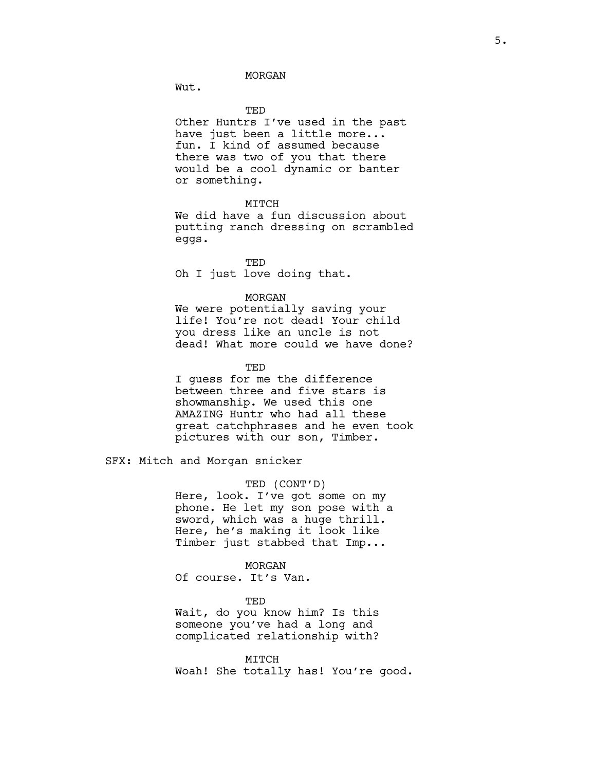Wut.

#### TED

Other Huntrs I've used in the past have just been a little more... fun. I kind of assumed because there was two of you that there would be a cool dynamic or banter or something.

## MTTCH

We did have a fun discussion about putting ranch dressing on scrambled eggs.

TED Oh I just love doing that.

## MORGAN

We were potentially saving your life! You're not dead! Your child you dress like an uncle is not dead! What more could we have done?

**TED** 

I guess for me the difference between three and five stars is showmanship. We used this one AMAZING Huntr who had all these great catchphrases and he even took pictures with our son, Timber.

SFX: Mitch and Morgan snicker

#### TED (CONT'D)

Here, look. I've got some on my phone. He let my son pose with a sword, which was a huge thrill. Here, he's making it look like Timber just stabbed that Imp...

#### MORGAN

Of course. It's Van.

TED

Wait, do you know him? Is this someone you've had a long and complicated relationship with?

#### MITCH

Woah! She totally has! You're good.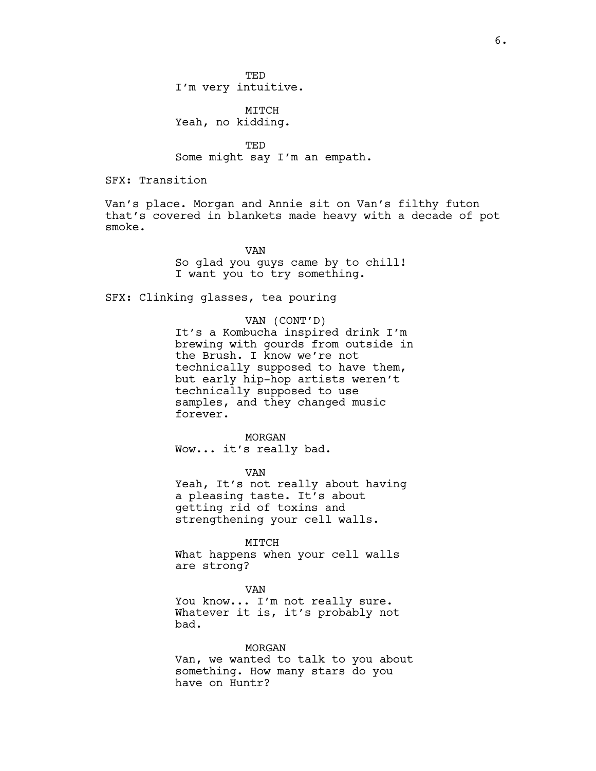**TED** I'm very intuitive.

MITCH Yeah, no kidding.

TED Some might say I'm an empath.

SFX: Transition

Van's place. Morgan and Annie sit on Van's filthy futon that's covered in blankets made heavy with a decade of pot smoke.

> VAN So glad you guys came by to chill! I want you to try something.

SFX: Clinking glasses, tea pouring

## VAN (CONT'D)

It's a Kombucha inspired drink I'm brewing with gourds from outside in the Brush. I know we're not technically supposed to have them, but early hip-hop artists weren't technically supposed to use samples, and they changed music forever.

#### MORGAN

Wow... it's really bad.

VAN

Yeah, It's not really about having a pleasing taste. It's about getting rid of toxins and strengthening your cell walls.

#### MITCH

What happens when your cell walls are strong?

#### VAN

You know... I'm not really sure. Whatever it is, it's probably not bad.

#### MORGAN

Van, we wanted to talk to you about something. How many stars do you have on Huntr?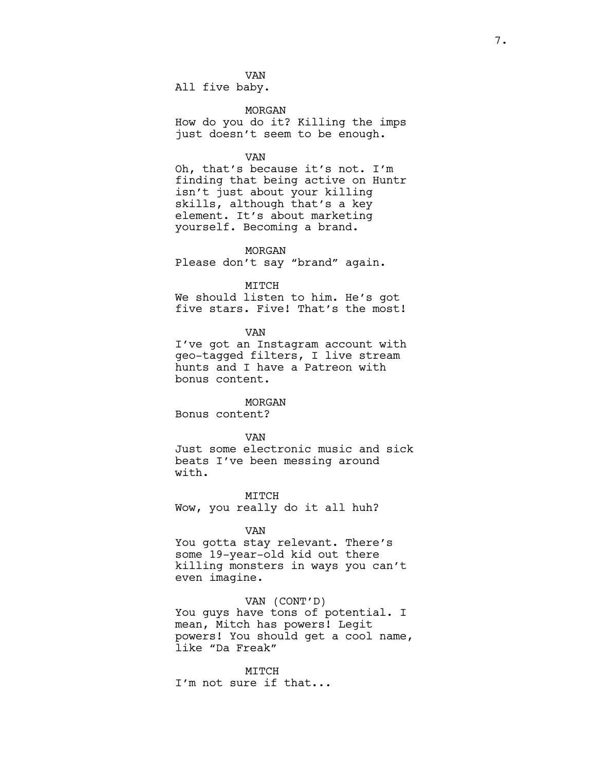VAN All five baby.

MORGAN

How do you do it? Killing the imps just doesn't seem to be enough.

#### VAN

Oh, that's because it's not. I'm finding that being active on Huntr isn't just about your killing skills, although that's a key element. It's about marketing yourself. Becoming a brand.

MORGAN

Please don't say "brand" again.

MITCH

We should listen to him. He's got five stars. Five! That's the most!

VAN

I've got an Instagram account with geo-tagged filters, I live stream hunts and I have a Patreon with bonus content.

#### MORGAN

Bonus content?

VAN

Just some electronic music and sick beats I've been messing around with.

MITCH Wow, you really do it all huh?

#### VAN

You gotta stay relevant. There's some 19-year-old kid out there killing monsters in ways you can't even imagine.

## VAN (CONT'D)

You guys have tons of potential. I mean, Mitch has powers! Legit powers! You should get a cool name, like "Da Freak"

MITCH I'm not sure if that...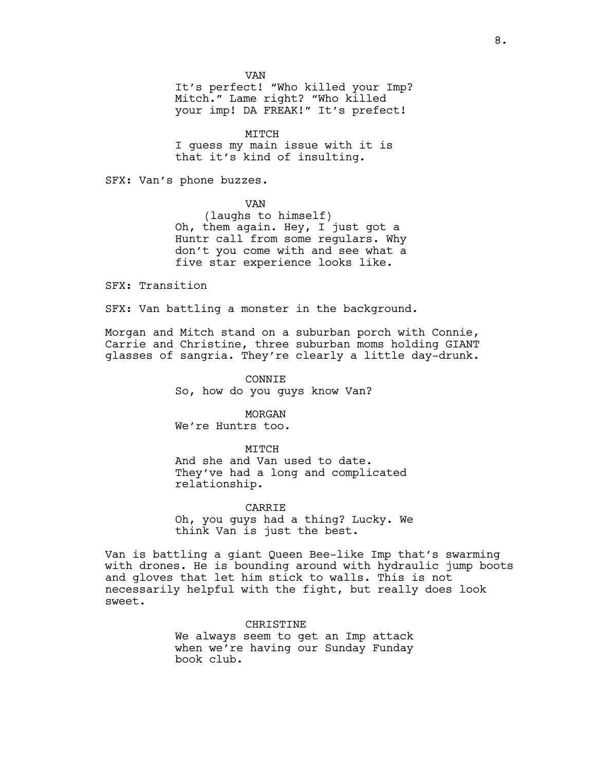VAN

It's perfect! "Who killed your Imp? Mitch." Lame right? "Who killed your imp! DA FREAK!" It's prefect!

MITCH I guess my main issue with it is that it's kind of insulting.

SFX: Van's phone buzzes.

VAN

(laughs to himself) Oh, them again. Hey, I just got a Huntr call from some regulars. Why don't you come with and see what a five star experience looks like.

SFX: Transition

SFX: Van battling a monster in the background.

Morgan and Mitch stand on a suburban porch with Connie, Carrie and Christine, three suburban moms holding GIANT glasses of sangria. They're clearly a little day-drunk.

> CONNIE So, how do you guys know Van?

> > MORGAN

We're Huntrs too.

MITCH

And she and Van used to date. They've had a long and complicated relationship.

CARRIE Oh, you guys had a thing? Lucky. We think Van is just the best.

Van is battling a giant Queen Bee-like Imp that's swarming with drones. He is bounding around with hydraulic jump boots and gloves that let him stick to walls. This is not necessarily helpful with the fight, but really does look sweet.

CHRISTINE

We always seem to get an Imp attack when we're having our Sunday Funday book club.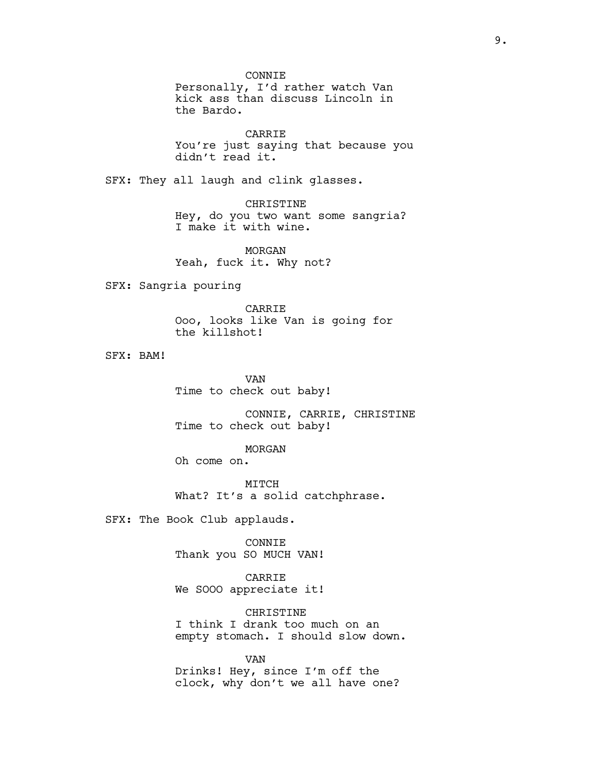CONNIE Personally, I'd rather watch Van kick ass than discuss Lincoln in the Bardo.

CARRIE You're just saying that because you didn't read it.

SFX: They all laugh and clink glasses.

CHRISTINE Hey, do you two want some sangria? I make it with wine.

MORGAN Yeah, fuck it. Why not?

SFX: Sangria pouring

CARRIE Ooo, looks like Van is going for the killshot!

SFX: BAM!

VAN Time to check out baby!

CONNIE, CARRIE, CHRISTINE Time to check out baby!

MORGAN

Oh come on.

MITCH What? It's a solid catchphrase.

SFX: The Book Club applauds.

CONNIE Thank you SO MUCH VAN!

CARRIE We SOOO appreciate it!

**CHRISTINE** I think I drank too much on an empty stomach. I should slow down.

VAN Drinks! Hey, since I'm off the clock, why don't we all have one?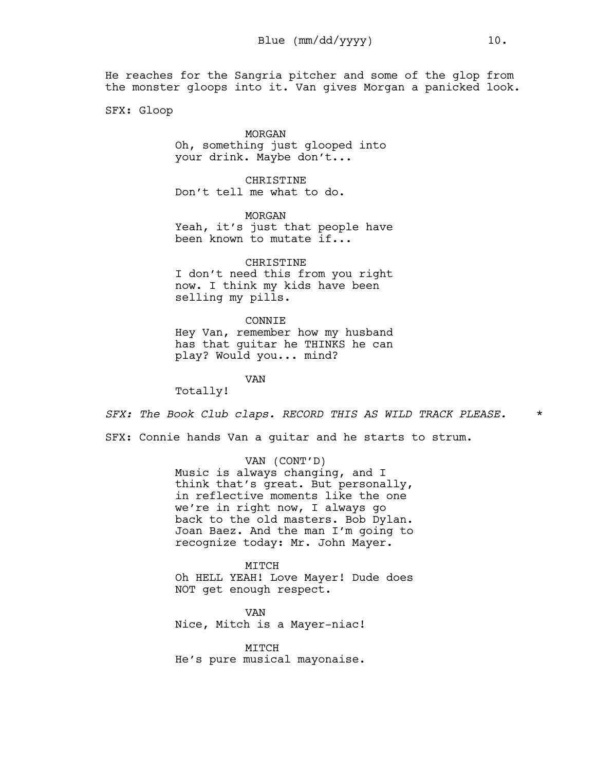He reaches for the Sangria pitcher and some of the glop from the monster gloops into it. Van gives Morgan a panicked look.

SFX: Gloop

## MORGAN Oh, something just glooped into your drink. Maybe don't...

CHRISTINE Don't tell me what to do.

MORGAN Yeah, it's just that people have been known to mutate if...

CHRISTINE I don't need this from you right now. I think my kids have been selling my pills.

CONNIE Hey Van, remember how my husband has that guitar he THINKS he can play? Would you... mind?

VAN

Totally!

*SFX: The Book Club claps. RECORD THIS AS WILD TRACK PLEASE.* \*

SFX: Connie hands Van a guitar and he starts to strum.

VAN (CONT'D) Music is always changing, and I think that's great. But personally, in reflective moments like the one we're in right now, I always go back to the old masters. Bob Dylan. Joan Baez. And the man I'm going to recognize today: Mr. John Mayer.

MITCH Oh HELL YEAH! Love Mayer! Dude does NOT get enough respect.

VAN Nice, Mitch is a Mayer-niac!

MITCH He's pure musical mayonaise.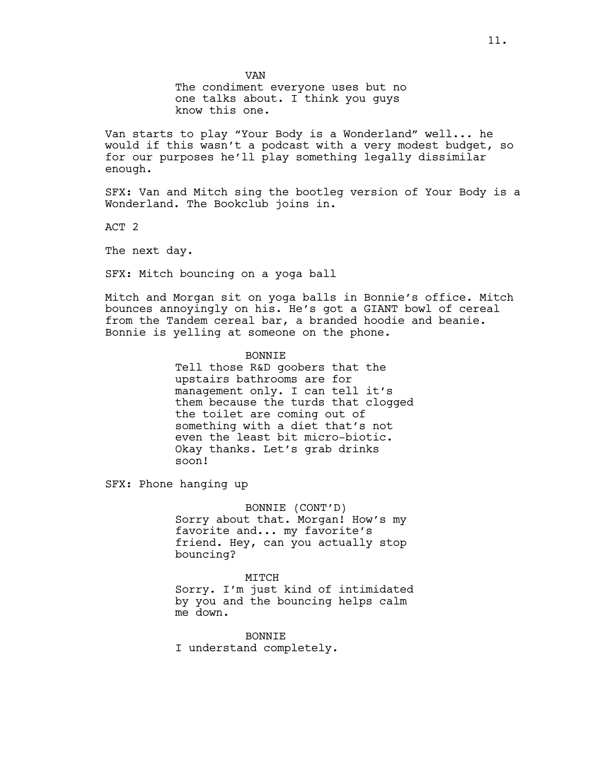VAN The condiment everyone uses but no one talks about. I think you guys know this one.

Van starts to play "Your Body is a Wonderland" well... he would if this wasn't a podcast with a very modest budget, so for our purposes he'll play something legally dissimilar enough.

SFX: Van and Mitch sing the bootleg version of Your Body is a Wonderland. The Bookclub joins in.

ACT 2

The next day.

SFX: Mitch bouncing on a yoga ball

Mitch and Morgan sit on yoga balls in Bonnie's office. Mitch bounces annoyingly on his. He's got a GIANT bowl of cereal from the Tandem cereal bar, a branded hoodie and beanie. Bonnie is yelling at someone on the phone.

> **BONNTE** Tell those R&D goobers that the upstairs bathrooms are for management only. I can tell it's them because the turds that clogged the toilet are coming out of something with a diet that's not even the least bit micro-biotic. Okay thanks. Let's grab drinks soon!

SFX: Phone hanging up

BONNIE (CONT'D) Sorry about that. Morgan! How's my favorite and... my favorite's friend. Hey, can you actually stop bouncing?

MITCH Sorry. I'm just kind of intimidated by you and the bouncing helps calm me down.

BONNIE I understand completely.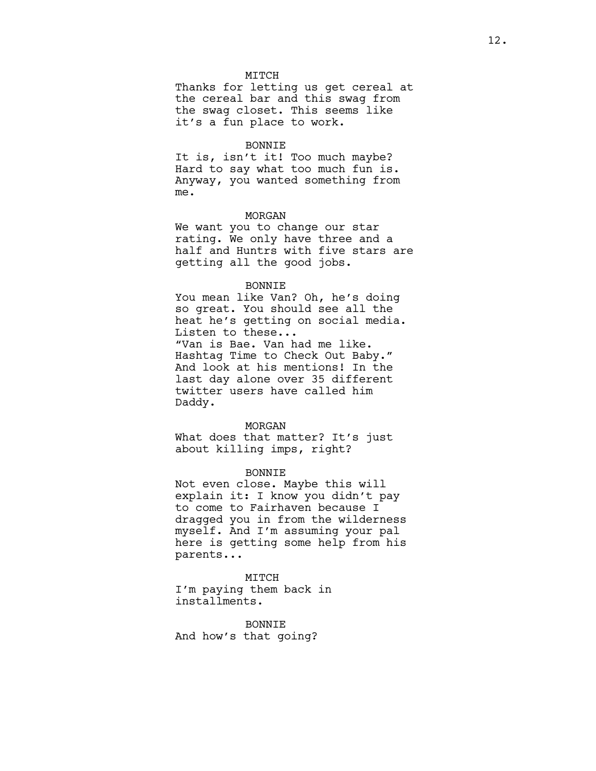## **MTTCH**

Thanks for letting us get cereal at the cereal bar and this swag from the swag closet. This seems like it's a fun place to work.

#### BONNIE

It is, isn't it! Too much maybe? Hard to say what too much fun is. Anyway, you wanted something from me.

### MORGAN

We want you to change our star rating. We only have three and a half and Huntrs with five stars are getting all the good jobs.

#### BONNIE

You mean like Van? Oh, he's doing so great. You should see all the heat he's getting on social media. Listen to these... "Van is Bae. Van had me like. Hashtag Time to Check Out Baby." And look at his mentions! In the last day alone over 35 different twitter users have called him Daddy.

#### MORGAN

What does that matter? It's just about killing imps, right?

#### BONNIE

Not even close. Maybe this will explain it: I know you didn't pay to come to Fairhaven because I dragged you in from the wilderness myself. And I'm assuming your pal here is getting some help from his parents...

## MITCH I'm paying them back in installments.

BONNIE And how's that going?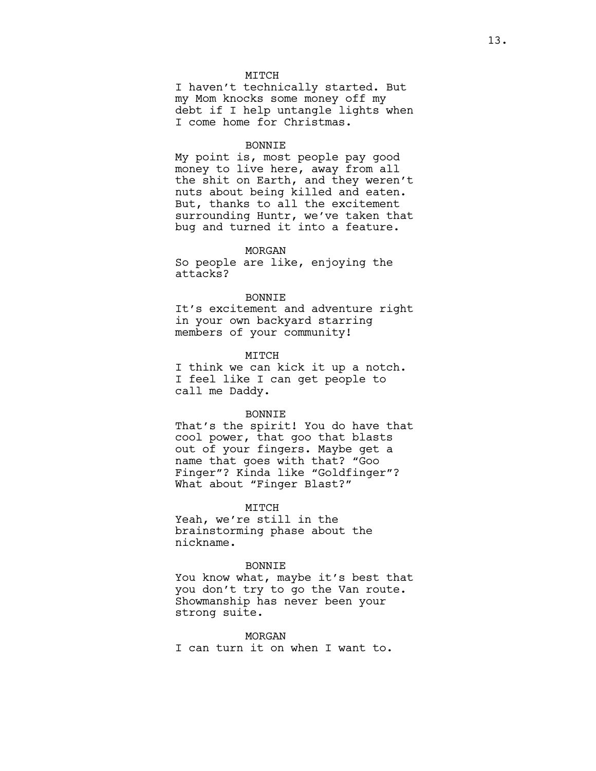## MITCH

I haven't technically started. But my Mom knocks some money off my debt if I help untangle lights when I come home for Christmas.

#### BONNIE

My point is, most people pay good money to live here, away from all the shit on Earth, and they weren't nuts about being killed and eaten. But, thanks to all the excitement surrounding Huntr, we've taken that bug and turned it into a feature.

#### MORGAN

So people are like, enjoying the attacks?

### BONNIE

It's excitement and adventure right in your own backyard starring members of your community!

#### MITCH

I think we can kick it up a notch. I feel like I can get people to call me Daddy.

#### **BONNTE**

That's the spirit! You do have that cool power, that goo that blasts out of your fingers. Maybe get a name that goes with that? "Goo Finger"? Kinda like "Goldfinger"? What about "Finger Blast?"

## MITCH

Yeah, we're still in the brainstorming phase about the nickname.

## BONNIE

You know what, maybe it's best that you don't try to go the Van route. Showmanship has never been your strong suite.

## MORGAN

I can turn it on when I want to.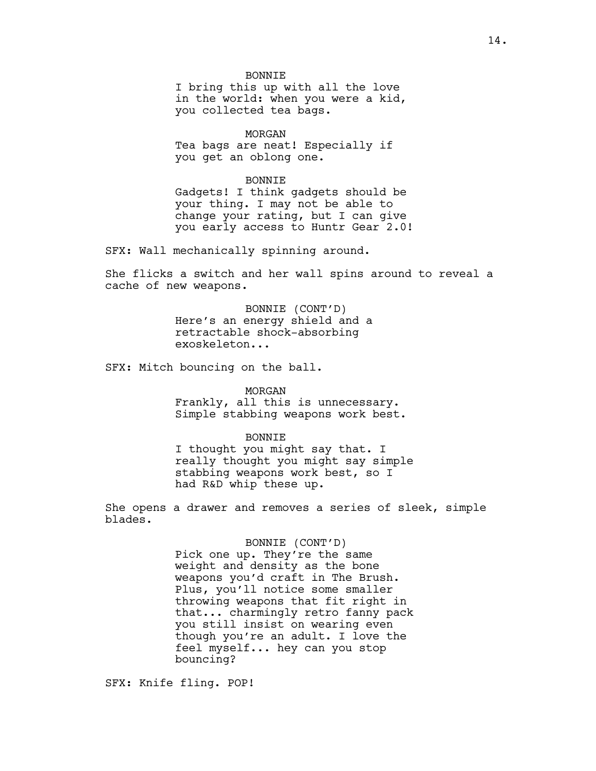BONNIE I bring this up with all the love in the world: when you were a kid, you collected tea bags.

MORGAN Tea bags are neat! Especially if you get an oblong one.

BONNIE

Gadgets! I think gadgets should be your thing. I may not be able to change your rating, but I can give you early access to Huntr Gear 2.0!

SFX: Wall mechanically spinning around.

She flicks a switch and her wall spins around to reveal a cache of new weapons.

> BONNIE (CONT'D) Here's an energy shield and a retractable shock-absorbing exoskeleton...

SFX: Mitch bouncing on the ball.

#### MORGAN

Frankly, all this is unnecessary. Simple stabbing weapons work best.

### BONNIE

I thought you might say that. I really thought you might say simple stabbing weapons work best, so I had R&D whip these up.

She opens a drawer and removes a series of sleek, simple blades.

### BONNIE (CONT'D)

Pick one up. They're the same weight and density as the bone weapons you'd craft in The Brush. Plus, you'll notice some smaller throwing weapons that fit right in that... charmingly retro fanny pack you still insist on wearing even though you're an adult. I love the feel myself... hey can you stop bouncing?

SFX: Knife fling. POP!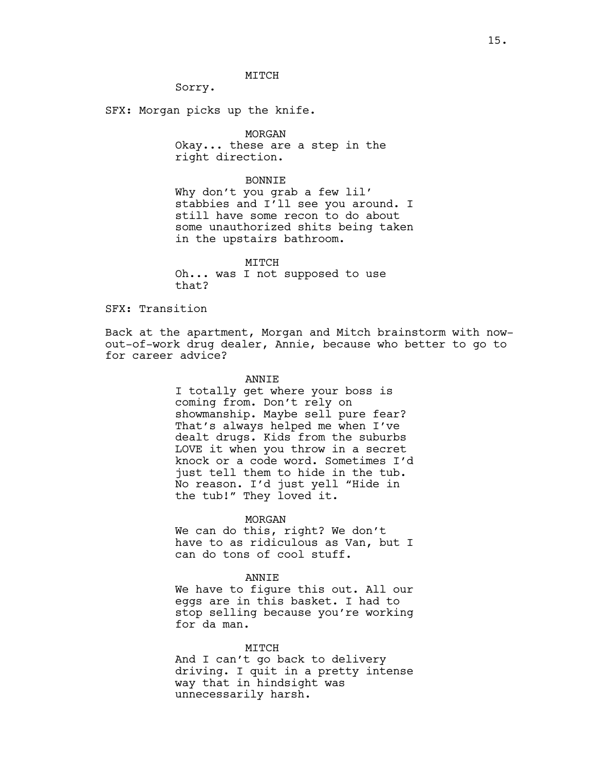MITCH

Sorry.

SFX: Morgan picks up the knife.

## MORGAN

Okay... these are a step in the right direction.

#### BONNIE

Why don't you grab a few lil' stabbies and I'll see you around. I still have some recon to do about some unauthorized shits being taken in the upstairs bathroom.

MITCH Oh... was I not supposed to use that?

## SFX: Transition

Back at the apartment, Morgan and Mitch brainstorm with nowout-of-work drug dealer, Annie, because who better to go to for career advice?

### ANNIE

I totally get where your boss is coming from. Don't rely on showmanship. Maybe sell pure fear? That's always helped me when I've dealt drugs. Kids from the suburbs LOVE it when you throw in a secret knock or a code word. Sometimes I'd just tell them to hide in the tub. No reason. I'd just yell "Hide in the tub!" They loved it.

### MORGAN

We can do this, right? We don't have to as ridiculous as Van, but I can do tons of cool stuff.

### ANNIE

We have to figure this out. All our eggs are in this basket. I had to stop selling because you're working for da man.

#### MITCH

And I can't go back to delivery driving. I quit in a pretty intense way that in hindsight was unnecessarily harsh.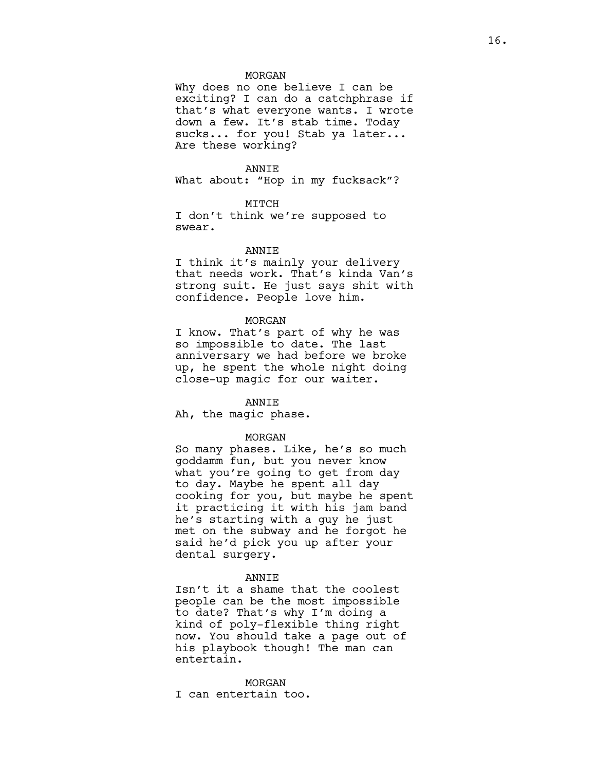### MORGAN

Why does no one believe I can be exciting? I can do a catchphrase if that's what everyone wants. I wrote down a few. It's stab time. Today sucks... for you! Stab ya later... Are these working?

### ANNIE

What about: "Hop in my fucksack"?

### MITCH

I don't think we're supposed to swear.

### ANNIE

I think it's mainly your delivery that needs work. That's kinda Van's strong suit. He just says shit with confidence. People love him.

#### MORGAN

I know. That's part of why he was so impossible to date. The last anniversary we had before we broke up, he spent the whole night doing close-up magic for our waiter.

#### ANNIE

Ah, the magic phase.

#### MORGAN

So many phases. Like, he's so much goddamm fun, but you never know what you're going to get from day to day. Maybe he spent all day cooking for you, but maybe he spent it practicing it with his jam band he's starting with a guy he just met on the subway and he forgot he said he'd pick you up after your dental surgery.

### ANNIE

Isn't it a shame that the coolest people can be the most impossible to date? That's why I'm doing a kind of poly-flexible thing right now. You should take a page out of his playbook though! The man can entertain.

#### MORGAN

I can entertain too.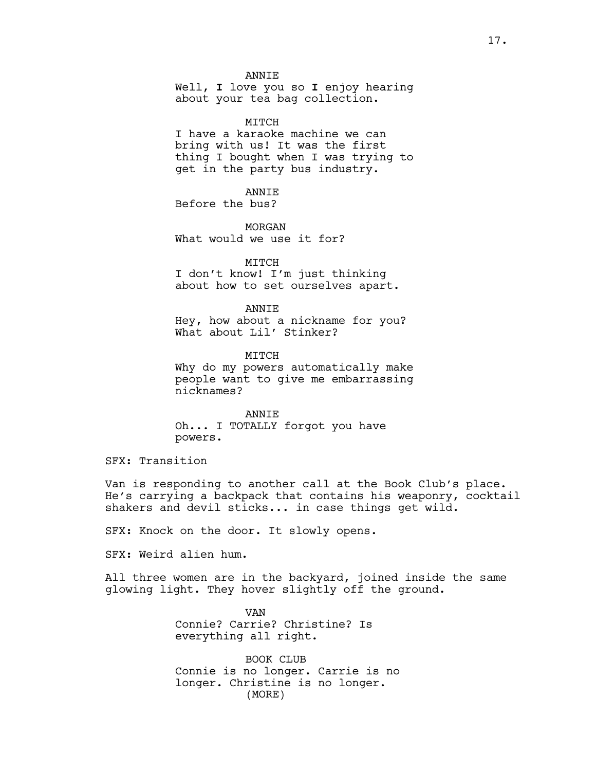**ANNTE** 

Well, **I** love you so **I** enjoy hearing about your tea bag collection.

MTTCH

I have a karaoke machine we can bring with us! It was the first thing I bought when I was trying to get in the party bus industry.

ANNIE Before the bus?

nicknames?

MORGAN What would we use it for?

MITCH I don't know! I'm just thinking about how to set ourselves apart.

ANNIE Hey, how about a nickname for you? What about Lil' Stinker?

MTTCH Why do my powers automatically make people want to give me embarrassing

ANNIE Oh... I TOTALLY forgot you have powers.

SFX: Transition

Van is responding to another call at the Book Club's place. He's carrying a backpack that contains his weaponry, cocktail shakers and devil sticks... in case things get wild.

SFX: Knock on the door. It slowly opens.

SFX: Weird alien hum.

All three women are in the backyard, joined inside the same glowing light. They hover slightly off the ground.

> VAN Connie? Carrie? Christine? Is everything all right.

BOOK CLUB Connie is no longer. Carrie is no longer. Christine is no longer. (MORE)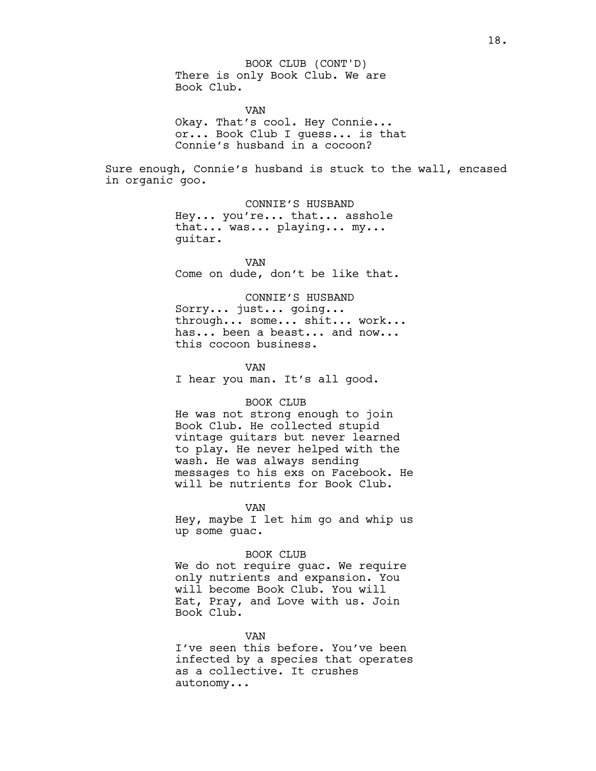There is only Book Club. We are Book Club. BOOK CLUB (CONT'D)

VAN Okay. That's cool. Hey Connie... or... Book Club I guess... is that Connie's husband in a cocoon?

Sure enough, Connie's husband is stuck to the wall, encased in organic goo.

> CONNIE'S HUSBAND Hey... you're... that... asshole that... was... playing... my... guitar.

VAN Come on dude, don't be like that.

## CONNIE'S HUSBAND

Sorry... just... going... through... some... shit... work... has... been a beast... and now... this cocoon business.

VAN I hear you man. It's all good.

### BOOK CLUB

He was not strong enough to join Book Club. He collected stupid vintage guitars but never learned to play. He never helped with the wash. He was always sending messages to his exs on Facebook. He will be nutrients for Book Club.

### VAN

Hey, maybe I let him go and whip us up some guac.

#### BOOK CLUB

We do not require guac. We require only nutrients and expansion. You will become Book Club. You will Eat, Pray, and Love with us. Join Book Club.

#### **VZAN**

I've seen this before. You've been infected by a species that operates as a collective. It crushes autonomy...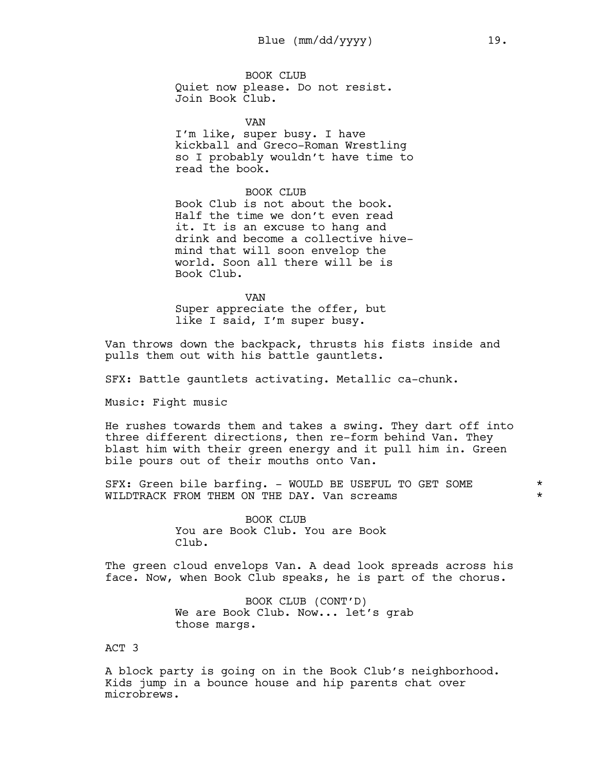BOOK CLUB Quiet now please. Do not resist. Join Book Club.

VAN I'm like, super busy. I have kickball and Greco-Roman Wrestling so I probably wouldn't have time to read the book.

## BOOK CLUB

Book Club is not about the book. Half the time we don't even read it. It is an excuse to hang and drink and become a collective hivemind that will soon envelop the world. Soon all there will be is Book Club.

VAN Super appreciate the offer, but like I said, I'm super busy.

Van throws down the backpack, thrusts his fists inside and pulls them out with his battle gauntlets.

SFX: Battle gauntlets activating. Metallic ca-chunk.

Music: Fight music

He rushes towards them and takes a swing. They dart off into three different directions, then re-form behind Van. They blast him with their green energy and it pull him in. Green bile pours out of their mouths onto Van.

SFX: Green bile barfing. - WOULD BE USEFUL TO GET SOME  $*$ WILDTRACK FROM THEM ON THE DAY. Van screams \*

> BOOK CLUB You are Book Club. You are Book Club.

The green cloud envelops Van. A dead look spreads across his face. Now, when Book Club speaks, he is part of the chorus.

> BOOK CLUB (CONT'D) We are Book Club. Now... let's grab those margs.

ACT 3

A block party is going on in the Book Club's neighborhood. Kids jump in a bounce house and hip parents chat over microbrews.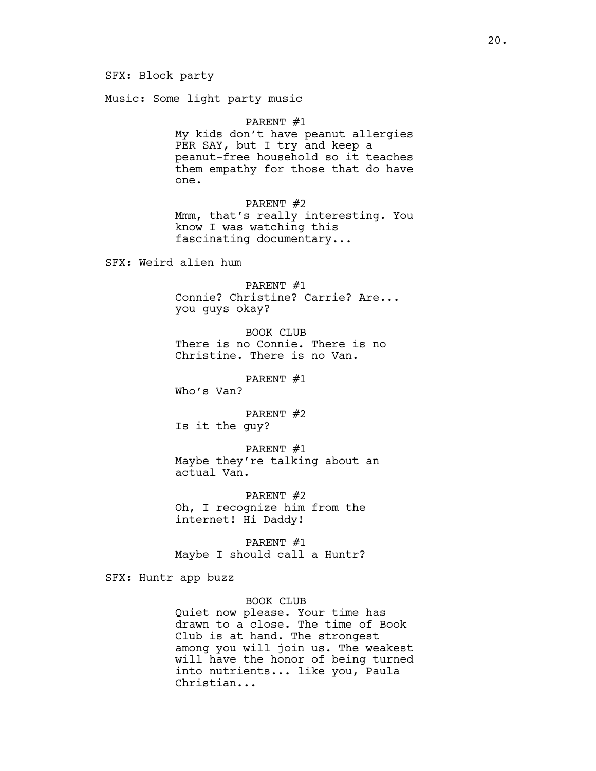SFX: Block party

Music: Some light party music

PARENT #1 My kids don't have peanut allergies PER SAY, but I try and keep a peanut-free household so it teaches them empathy for those that do have one.

PARENT #2 Mmm, that's really interesting. You know I was watching this fascinating documentary...

SFX: Weird alien hum

PARENT #1 Connie? Christine? Carrie? Are... you guys okay?

BOOK CLUB There is no Connie. There is no Christine. There is no Van.

PARENT #1

Who's Van?

PARENT #2 Is it the guy?

PARENT #1 Maybe they're talking about an actual Van.

PARENT #2 Oh, I recognize him from the internet! Hi Daddy!

PARENT #1 Maybe I should call a Huntr?

SFX: Huntr app buzz

BOOK CLUB

Quiet now please. Your time has drawn to a close. The time of Book Club is at hand. The strongest among you will join us. The weakest will have the honor of being turned into nutrients... like you, Paula Christian...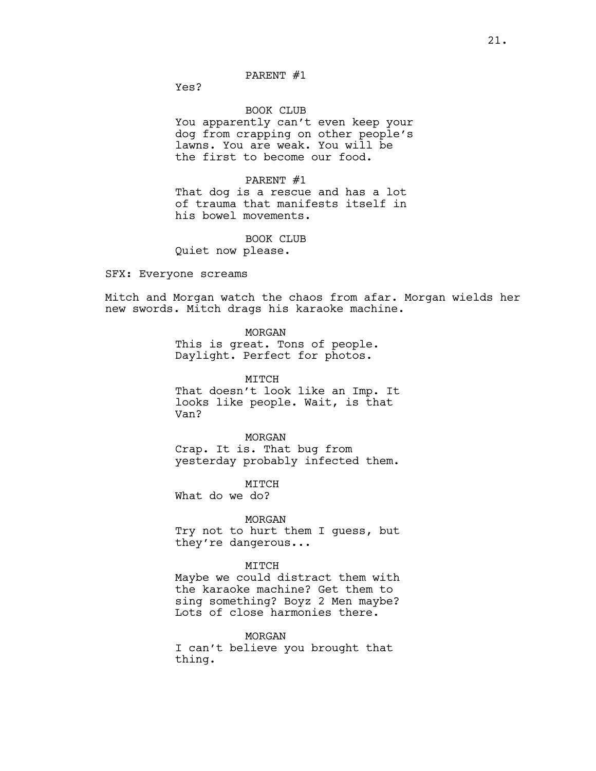## PARENT #1

Yes?

### BOOK CLUB

You apparently can't even keep your dog from crapping on other people's lawns. You are weak. You will be the first to become our food.

#### PARENT #1

That dog is a rescue and has a lot of trauma that manifests itself in his bowel movements.

#### BOOK CLUB

Quiet now please.

## SFX: Everyone screams

Mitch and Morgan watch the chaos from afar. Morgan wields her new swords. Mitch drags his karaoke machine.

> MORGAN This is great. Tons of people. Daylight. Perfect for photos.

MITCH That doesn't look like an Imp. It looks like people. Wait, is that Van?

MORGAN Crap. It is. That bug from yesterday probably infected them.

MITCH What do we do?

### MORGAN

Try not to hurt them I guess, but they're dangerous...

### MITCH

Maybe we could distract them with the karaoke machine? Get them to sing something? Boyz 2 Men maybe? Lots of close harmonies there.

## MORGAN

I can't believe you brought that thing.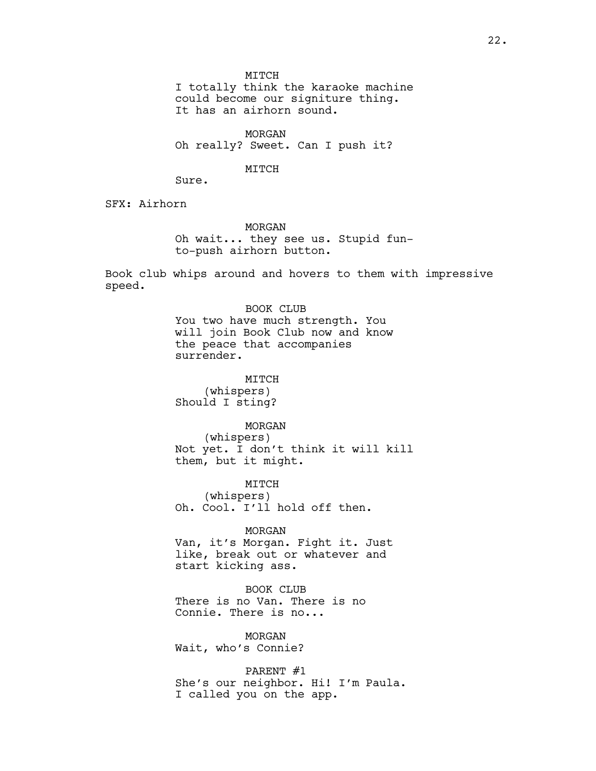MITCH

I totally think the karaoke machine could become our signiture thing. It has an airhorn sound.

MORGAN Oh really? Sweet. Can I push it?

#### MITCH

Sure.

SFX: Airhorn

MORGAN Oh wait... they see us. Stupid funto-push airhorn button.

Book club whips around and hovers to them with impressive speed.

> BOOK CLUB You two have much strength. You will join Book Club now and know the peace that accompanies surrender.

MTTCH (whispers) Should I sting?

#### MORGAN

(whispers) Not yet. I don't think it will kill them, but it might.

MITCH (whispers) Oh. Cool. I'll hold off then.

MORGAN Van, it's Morgan. Fight it. Just like, break out or whatever and start kicking ass.

BOOK CLUB There is no Van. There is no Connie. There is no...

MORGAN Wait, who's Connie?

PARENT #1 She's our neighbor. Hi! I'm Paula. I called you on the app.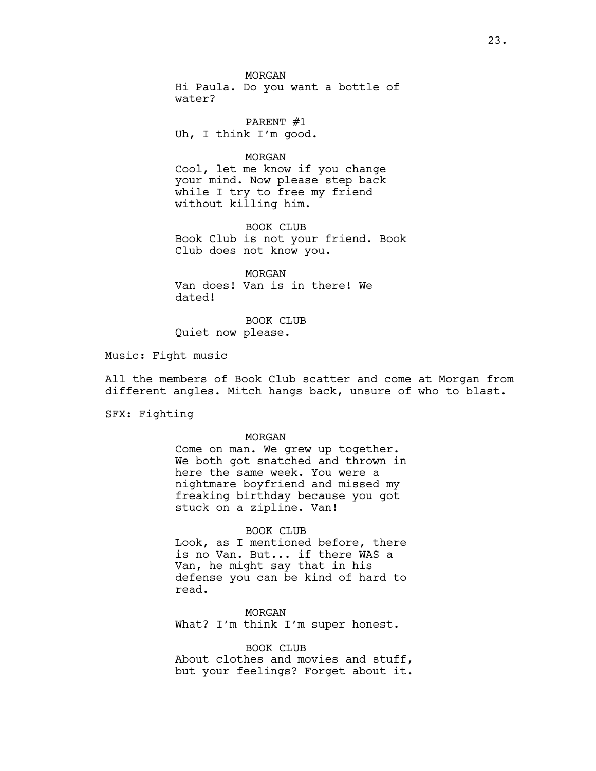MORGAN Hi Paula. Do you want a bottle of water?

PARENT #1 Uh, I think I'm good.

## MORGAN

Cool, let me know if you change your mind. Now please step back while I try to free my friend without killing him.

BOOK CLUB Book Club is not your friend. Book Club does not know you.

MORGAN Van does! Van is in there! We dated!

BOOK CLUB Quiet now please.

Music: Fight music

All the members of Book Club scatter and come at Morgan from different angles. Mitch hangs back, unsure of who to blast.

SFX: Fighting

#### MORGAN

Come on man. We grew up together. We both got snatched and thrown in here the same week. You were a nightmare boyfriend and missed my freaking birthday because you got stuck on a zipline. Van!

#### BOOK CLUB

Look, as I mentioned before, there is no Van. But... if there WAS a Van, he might say that in his defense you can be kind of hard to read.

MORGAN What? I'm think I'm super honest.

BOOK CLUB About clothes and movies and stuff, but your feelings? Forget about it.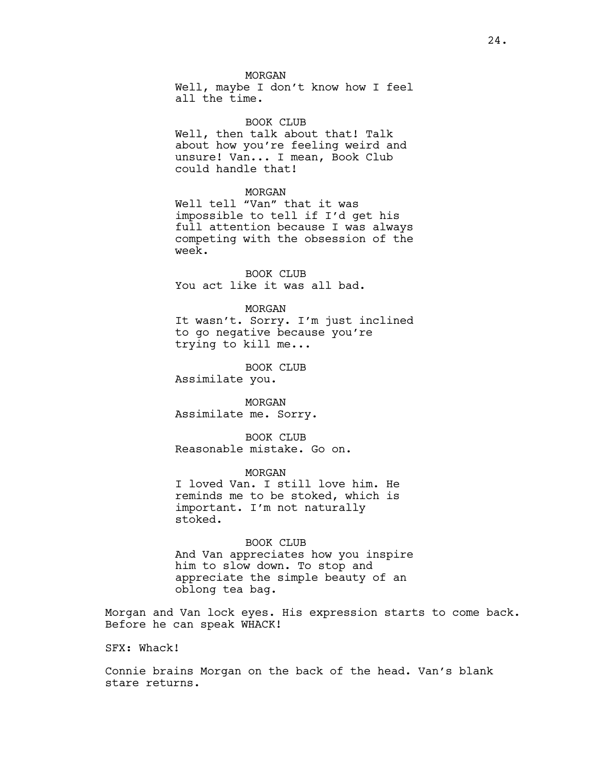#### MORGAN

Well, maybe I don't know how I feel all the time.

#### BOOK CLUB

Well, then talk about that! Talk about how you're feeling weird and unsure! Van... I mean, Book Club could handle that!

#### MORGAN

Well tell "Van" that it was impossible to tell if I'd get his full attention because I was always competing with the obsession of the week.

BOOK CLUB You act like it was all bad.

#### MORGAN

It wasn't. Sorry. I'm just inclined to go negative because you're trying to kill me...

BOOK CLUB Assimilate you.

MORGAN Assimilate me. Sorry.

BOOK CLUB Reasonable mistake. Go on.

MORGAN I loved Van. I still love him. He reminds me to be stoked, which is important. I'm not naturally stoked.

BOOK CLUB And Van appreciates how you inspire him to slow down. To stop and appreciate the simple beauty of an oblong tea bag.

Morgan and Van lock eyes. His expression starts to come back. Before he can speak WHACK!

SFX: Whack!

Connie brains Morgan on the back of the head. Van's blank stare returns.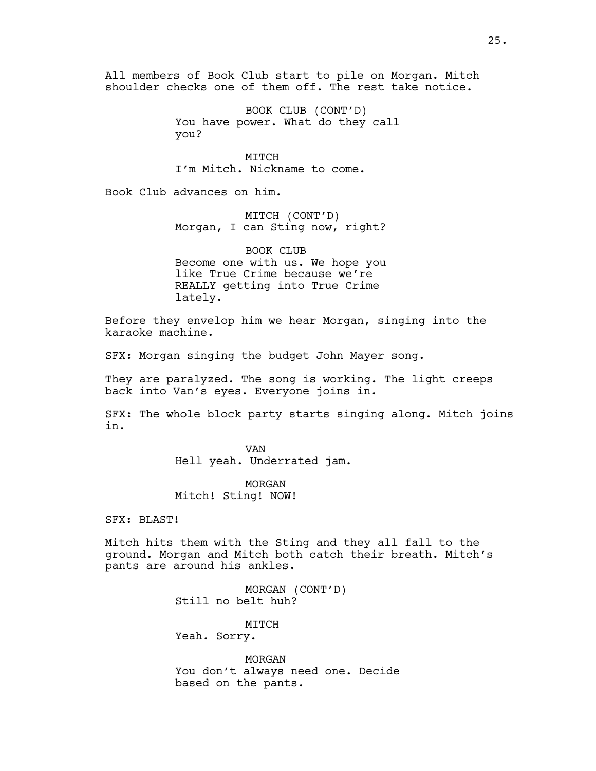All members of Book Club start to pile on Morgan. Mitch shoulder checks one of them off. The rest take notice.

> BOOK CLUB (CONT'D) You have power. What do they call you?

MITCH I'm Mitch. Nickname to come.

Book Club advances on him.

MITCH (CONT'D) Morgan, I can Sting now, right?

BOOK CLUB Become one with us. We hope you like True Crime because we're REALLY getting into True Crime lately.

Before they envelop him we hear Morgan, singing into the karaoke machine.

SFX: Morgan singing the budget John Mayer song.

They are paralyzed. The song is working. The light creeps back into Van's eyes. Everyone joins in.

SFX: The whole block party starts singing along. Mitch joins in.

> VAN Hell yeah. Underrated jam.

MORGAN Mitch! Sting! NOW!

SFX: BLAST!

Mitch hits them with the Sting and they all fall to the ground. Morgan and Mitch both catch their breath. Mitch's pants are around his ankles.

> MORGAN (CONT'D) Still no belt huh?

MITCH Yeah. Sorry.

MORGAN You don't always need one. Decide based on the pants.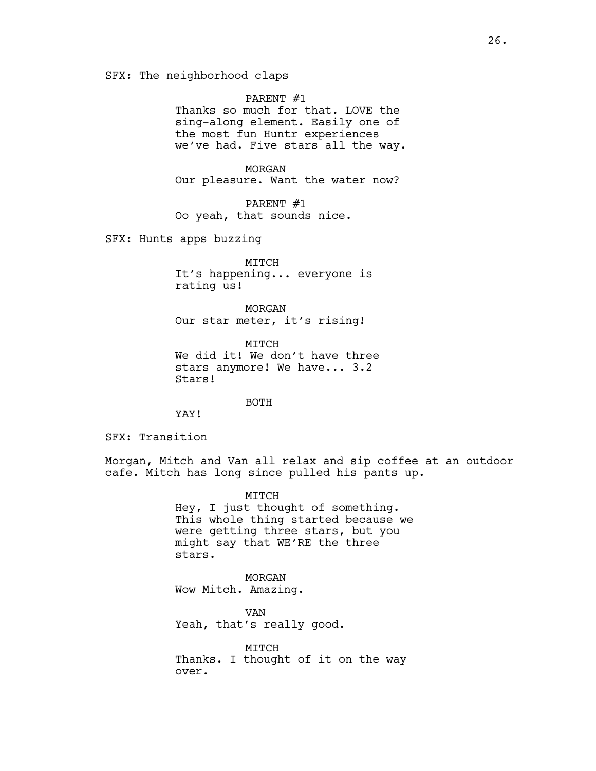SFX: The neighborhood claps

PARENT #1

Thanks so much for that. LOVE the sing-along element. Easily one of the most fun Huntr experiences we've had. Five stars all the way.

MORGAN Our pleasure. Want the water now?

PARENT #1 Oo yeah, that sounds nice.

SFX: Hunts apps buzzing

MITCH It's happening... everyone is rating us!

MORGAN Our star meter, it's rising!

MITCH We did it! We don't have three stars anymore! We have... 3.2 Stars!

BOTH

YAY!

SFX: Transition

Morgan, Mitch and Van all relax and sip coffee at an outdoor cafe. Mitch has long since pulled his pants up.

> MITCH Hey, I just thought of something. This whole thing started because we were getting three stars, but you might say that WE'RE the three stars.

MORGAN Wow Mitch. Amazing.

VAN Yeah, that's really good.

MITCH Thanks. I thought of it on the way over.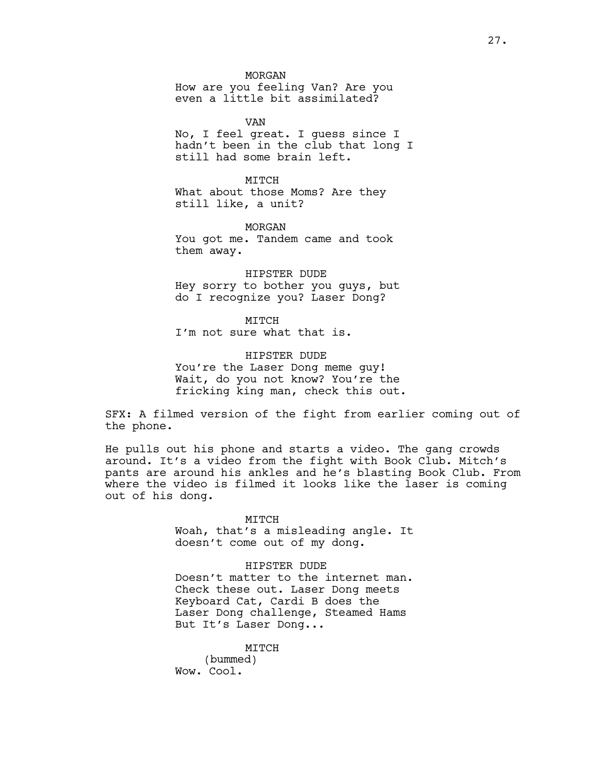MORGAN How are you feeling Van? Are you even a little bit assimilated?

VAN No, I feel great. I guess since I hadn't been in the club that long I still had some brain left.

MTTCH What about those Moms? Are they still like, a unit?

MORGAN You got me. Tandem came and took them away.

HIPSTER DUDE Hey sorry to bother you guys, but do I recognize you? Laser Dong?

MITCH I'm not sure what that is.

HIPSTER DUDE You're the Laser Dong meme guy! Wait, do you not know? You're the fricking king man, check this out.

SFX: A filmed version of the fight from earlier coming out of the phone.

He pulls out his phone and starts a video. The gang crowds around. It's a video from the fight with Book Club. Mitch's pants are around his ankles and he's blasting Book Club. From where the video is filmed it looks like the laser is coming out of his dong.

> MITCH Woah, that's a misleading angle. It doesn't come out of my dong.

> HIPSTER DUDE Doesn't matter to the internet man. Check these out. Laser Dong meets Keyboard Cat, Cardi B does the Laser Dong challenge, Steamed Hams But It's Laser Dong...

MITCH (bummed) Wow. Cool.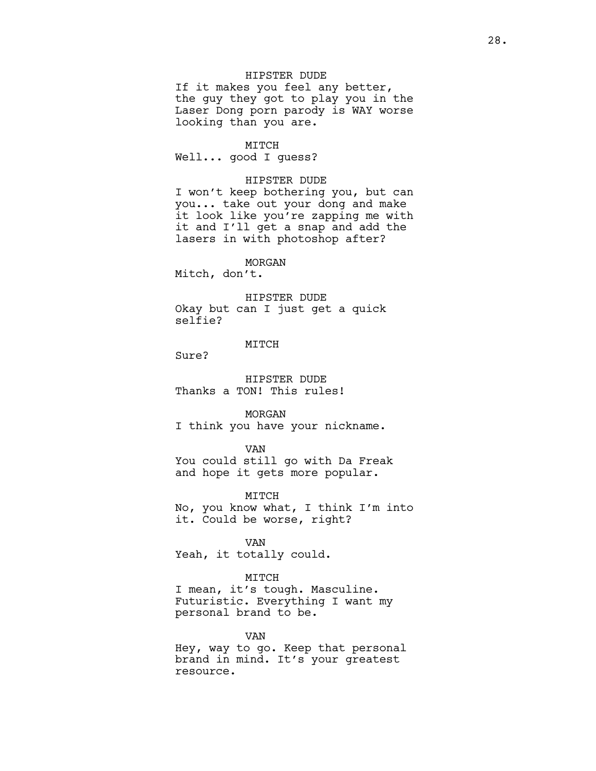## HIPSTER DUDE

If it makes you feel any better, the guy they got to play you in the Laser Dong porn parody is WAY worse looking than you are.

MITCH Well... good I guess?

### HIPSTER DUDE

I won't keep bothering you, but can you... take out your dong and make it look like you're zapping me with it and I'll get a snap and add the lasers in with photoshop after?

## MORGAN

Mitch, don't.

#### HIPSTER DUDE

Okay but can I just get a quick selfie?

## MITCH

Sure?

HIPSTER DUDE Thanks a TON! This rules!

MORGAN

I think you have your nickname.

#### VAN

You could still go with Da Freak and hope it gets more popular.

MITCH

No, you know what, I think I'm into it. Could be worse, right?

VAN

Yeah, it totally could.

### MITCH

I mean, it's tough. Masculine. Futuristic. Everything I want my personal brand to be.

VAN

Hey, way to go. Keep that personal brand in mind. It's your greatest resource.